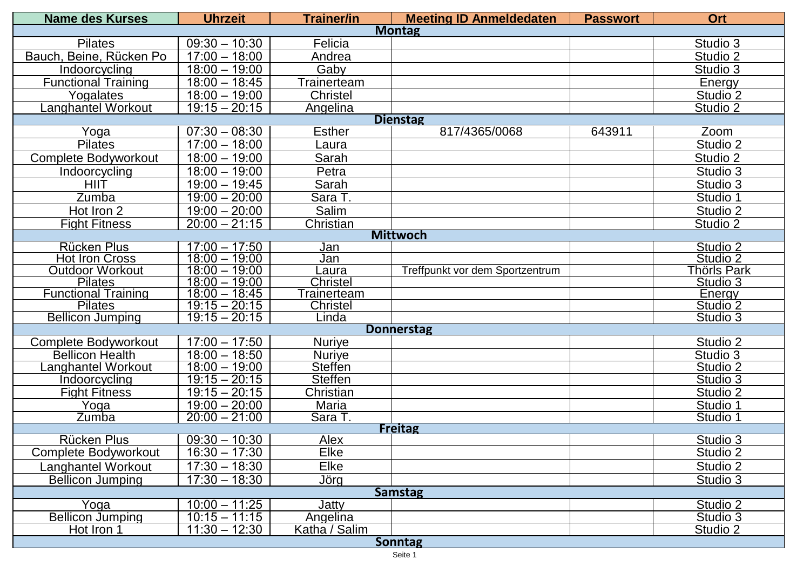| <b>Name des Kurses</b>                       | <b>Uhrzeit</b>                     | <b>Trainer/in</b>        | <b>Meeting ID Anmeldedaten</b>  | <b>Passwort</b> | <b>Ort</b>           |  |  |  |  |
|----------------------------------------------|------------------------------------|--------------------------|---------------------------------|-----------------|----------------------|--|--|--|--|
| <b>Montag</b>                                |                                    |                          |                                 |                 |                      |  |  |  |  |
| <b>Pilates</b>                               | $09:30 - 10:30$                    | Felicia                  |                                 |                 | Studio 3             |  |  |  |  |
| Bauch, Beine, Rücken Po                      | $17:00 - 18:00$                    | Andrea                   |                                 |                 | Studio 2             |  |  |  |  |
| Indoorcycling                                | $18:00 - 19:00$                    | Gaby                     |                                 |                 | Studio 3             |  |  |  |  |
| <b>Functional Training</b>                   | $18:00 - 18:45$                    | Trainerteam              |                                 |                 | Energy               |  |  |  |  |
| Yogalates                                    | $18:00 - 19:00$                    | <b>Christel</b>          |                                 |                 | Studio <sub>2</sub>  |  |  |  |  |
| Langhantel Workout                           | $19:15 - 20:15$                    | <b>Angelina</b>          |                                 |                 | Studio 2             |  |  |  |  |
| <b>Dienstag</b>                              |                                    |                          |                                 |                 |                      |  |  |  |  |
| Yoga                                         | $07:30 - 08:30$                    | <b>Esther</b>            | 817/4365/0068                   | 643911          | Zoom                 |  |  |  |  |
| <b>Pilates</b>                               | $17:00 - 18:00$                    | Laura                    |                                 |                 | Studio 2             |  |  |  |  |
| Complete Bodyworkout                         | $18:00 - 19:00$                    | Sarah                    |                                 |                 | Studio 2             |  |  |  |  |
| Indoorcycling                                | $18:00 - 19:00$                    | Petra                    |                                 |                 | Studio 3             |  |  |  |  |
| <b>HIIT</b>                                  | $19:00 - 19:45$                    | Sarah                    |                                 |                 | Studio 3             |  |  |  |  |
| Zumba                                        | $19:00 - 20:00$                    | Sara T.                  |                                 |                 | Studio 1             |  |  |  |  |
| Hot Iron 2                                   | $19:00 - 20:00$                    | Salim                    |                                 |                 | Studio 2             |  |  |  |  |
| <b>Fight Fitness</b>                         | $20:00 - 21:15$                    | Christian                |                                 |                 | Studio 2             |  |  |  |  |
| <b>Mittwoch</b>                              |                                    |                          |                                 |                 |                      |  |  |  |  |
| <b>Rücken Plus</b>                           | $17:00 - 17:50$                    | Jan                      |                                 |                 | Studio 2             |  |  |  |  |
| <b>Hot Iron Cross</b>                        | $18:00 - 19:00$                    | Jan                      |                                 |                 | Studio 2             |  |  |  |  |
| <b>Outdoor Workout</b>                       | $18:00 - 19:00$                    | Laura                    | Treffpunkt vor dem Sportzentrum |                 | Thörls Park          |  |  |  |  |
| <b>Pilates</b>                               | $18:00 - 19:00$                    | <b>Christel</b>          |                                 |                 | Studio 3             |  |  |  |  |
| <b>Functional Training</b><br><b>Pilates</b> | $18:00 - 18:45$                    | <b>Trainerteam</b>       |                                 |                 | Energy               |  |  |  |  |
| <b>Bellicon Jumping</b>                      | $19:15 - 20:15$<br>$19:15 - 20:15$ | <b>Christel</b><br>Linda |                                 |                 | Studio 2<br>Studio 3 |  |  |  |  |
|                                              |                                    |                          | <b>Donnerstag</b>               |                 |                      |  |  |  |  |
| Complete Bodyworkout                         | $17:00 - 17:50$                    | <b>Nuriye</b>            |                                 |                 | Studio 2             |  |  |  |  |
| <b>Bellicon Health</b>                       | $18:00 - 18:50$                    | <b>Nuriye</b>            |                                 |                 | Studio 3             |  |  |  |  |
| Langhantel Workout                           | $18:00 - 19:00$                    | <b>Steffen</b>           |                                 |                 | Studio 2             |  |  |  |  |
| Indoorcycling                                | $19:15 - 20:15$                    | <b>Steffen</b>           |                                 |                 | Studio 3             |  |  |  |  |
| <b>Fight Fitness</b>                         | $19:15 - 20:15$                    | Christian                |                                 |                 | Studio 2             |  |  |  |  |
| Yoga                                         | $19:00 - 20:00$                    | Maria                    |                                 |                 | Studio 1             |  |  |  |  |
| Zumba                                        | $20:00 - 21:00$                    | Sara T.                  |                                 |                 | Studio 1             |  |  |  |  |
|                                              |                                    |                          | <b>Freitag</b>                  |                 |                      |  |  |  |  |
| <b>Rücken Plus</b>                           | $09:30 - 10:30$                    | Alex                     |                                 |                 | Studio 3             |  |  |  |  |
| <b>Complete Bodyworkout</b>                  | $16:30 - 17:30$                    | Elke                     |                                 |                 | Studio 2             |  |  |  |  |
| <b>Langhantel Workout</b>                    | $17:30 - 18:30$                    | Elke                     |                                 |                 | Studio 2             |  |  |  |  |
| <b>Bellicon Jumping</b>                      | $17:30 - 18:30$                    | Jörg                     |                                 |                 | Studio 3             |  |  |  |  |
| <b>Samstag</b>                               |                                    |                          |                                 |                 |                      |  |  |  |  |
| $\overline{Y}$ oga                           | $10:00 - 11:25$                    | Jatty                    |                                 |                 | Studio 2             |  |  |  |  |
| <b>Bellicon Jumping</b>                      | $10:15 - 11:15$                    | Angelina                 |                                 |                 | Studio 3             |  |  |  |  |
| Hot Iron 1                                   | $11:30 - 12:30$                    | Katha / Salim            |                                 |                 | Studio 2             |  |  |  |  |
| <b>Sonntag</b>                               |                                    |                          |                                 |                 |                      |  |  |  |  |